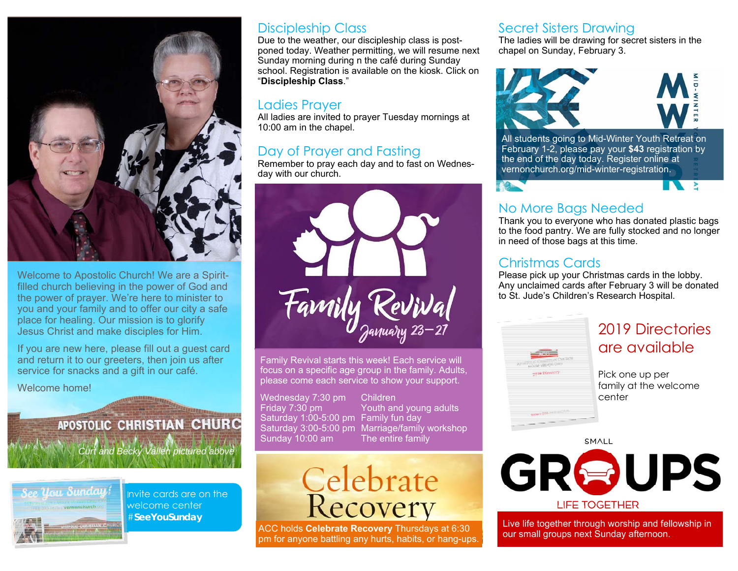

Welcome to Apostolic Church! We are a Spiritfilled church believing in the power of God and the power of prayer. We're here to minister to you and your family and to offer our city a safe place for healing. Our mission is to glorify Jesus Christ and make disciples for Him.

If you are new here, please fill out a guest card and return it to our greeters, then join us after service for snacks and a gift in our café.

#### Welcome home!

## APOSTOLIC CHRISTIAN CHURC *Curt and Becky Vallen pictured above*

Ree, Ursu Sunday

Invite cards are on the welcome center #**SeeYouSunday** 

### Discipleship Class

Due to the weather, our discipleship class is postponed today. Weather permitting, we will resume next Sunday morning during n the café during Sunday school. Registration is available on the kiosk. Click on "**Discipleship Class**."

#### Ladies Prayer

All ladies are invited to prayer Tuesday mornings at 10:00 am in the chapel.

### Day of Prayer and Fasting

Remember to pray each day and to fast on Wednesday with our church.



Family Revival starts this week! Each service will focus on a specific age group in the family. Adults, please come each service to show your support.

Wednesday 7:30 pm Children<br>Fridav 7:30 pm Youth an Saturday 1:00-5:00 pm Family fun day Sunday 10:00 am The entire family

Youth and young adults Saturday 3:00-5:00 pm Marriage/family workshop



ACC holds **Celebrate Recovery** Thursdays at 6:30 pm for anyone battling any hurts, habits, or hang-ups.

### Secret Sisters Drawing

The ladies will be drawing for secret sisters in the chapel on Sunday, February 3.



All students going to Mid-Winter Youth Retreat on February 1-2, please pay your **\$43** registration by the end of the day today. Register online at vernonchurch.org/mid-winter-registration.

### No More Bags Needed

Thank you to everyone who has donated plastic bags to the food pantry. We are fully stocked and no longer in need of those bags at this time.

#### Christmas Cards

Please pick up your Christmas cards in the lobby. Any unclaimed cards after February 3 will be donated to St. Jude's Children's Research Hospital.



### 2019 Directories are available

 $\rightarrow$ 

Pick one up per family at the welcome center

SMALL



Live life together through worship and fellowship in our small groups next Sunday afternoon.